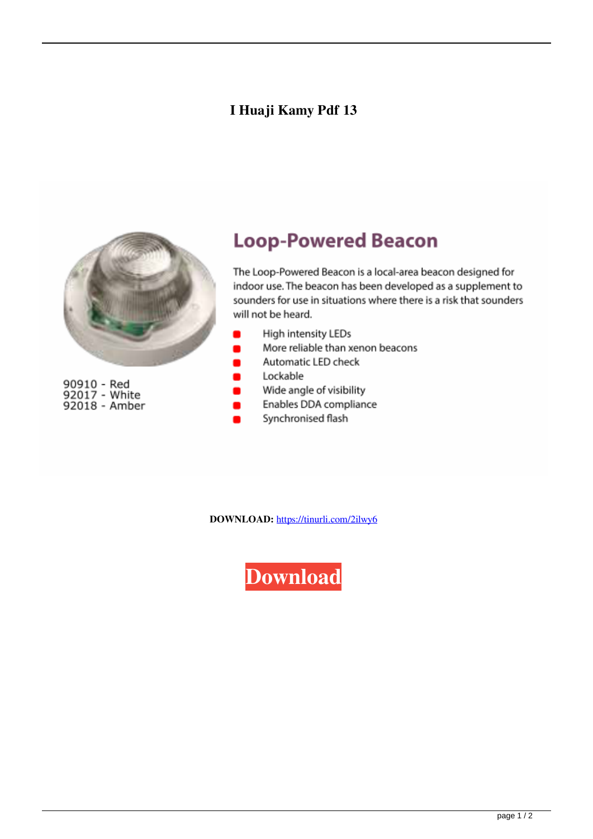## I Huaji Kamy Pdf 13



90910 - Red<br>92017 - White<br>92018 - Amber

## **Loop-Powered Beacon**

The Loop-Powered Beacon is a local-area beacon designed for indoor use. The beacon has been developed as a supplement to sounders for use in situations where there is a risk that sounders will not be heard.

- High intensity LEDs
- More reliable than xenon beacons
- Automatic LED check
- Lockable
- Wide angle of visibility
- Enables DDA compliance
- Synchronised flash

DOWNLOAD: https://tinurli.com/2ilwy6